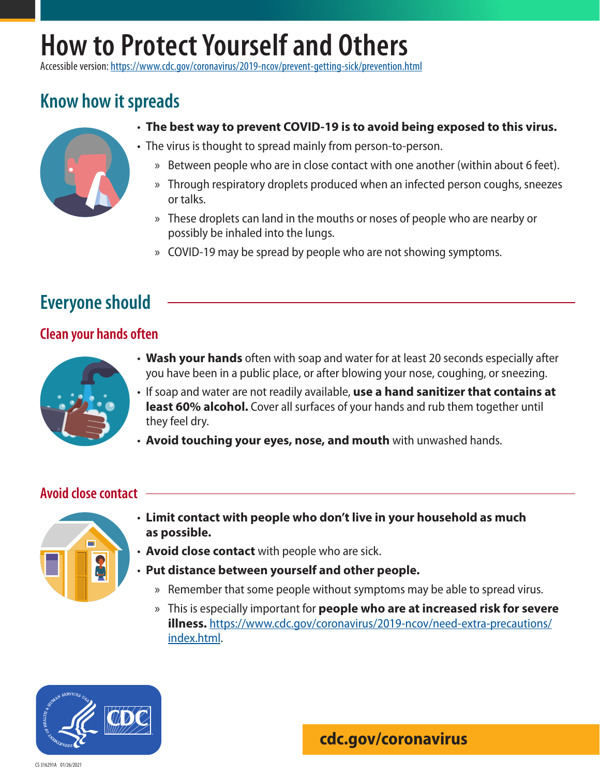# **How to Protect Yourself and Others**

Accessible version: <https://www.cdc.gov/coronavirus/2019-ncov/prevent-getting-sick/prevention.html>

## **Know how it spreads**



- **The best way to prevent COVID-19 is to avoid being exposed to this virus.**
- The virus is thought to spread mainly from person-to-person.
	- » Between people who are in close contact with one another (within about 6 feet).
	- » Through respiratory droplets produced when an infected person coughs, sneezes or talks.
	- » These droplets can land in the mouths or noses of people who are nearby or possibly be inhaled into the lungs.
	- » COVID-19 may be spread by people who are not showing symptoms.

## **Everyone should**

#### **Clean your hands often**



- **Wash your hands** often with soap and water for at least 20 seconds especially after you have been in a public place, or after blowing your nose, coughing, or sneezing.
- If soap and water are not readily available, **use a hand sanitizer that contains at least 60% alcohol.** Cover all surfaces of your hands and rub them together until they feel dry.
- **Avoid touching your eyes, nose, and mouth** with unwashed hands.

#### **Avoid close contact**



- **Limit contact with people who don't live in your household as much as possible.**
- **Avoid close contact** with people who are sick.
- **Put distance between yourself and other people.**
	- » Remember that some people without symptoms may be able to spread virus.
	- » This is especially important for **people who are at increased risk for severe illness.** [https://www.cdc.gov/coronavirus/2019-ncov/need-extra-precautions/](https://www.cdc.gov/coronavirus/2019-ncov/need-extra-precautions/index.html) [index.html](https://www.cdc.gov/coronavirus/2019-ncov/need-extra-precautions/index.html).